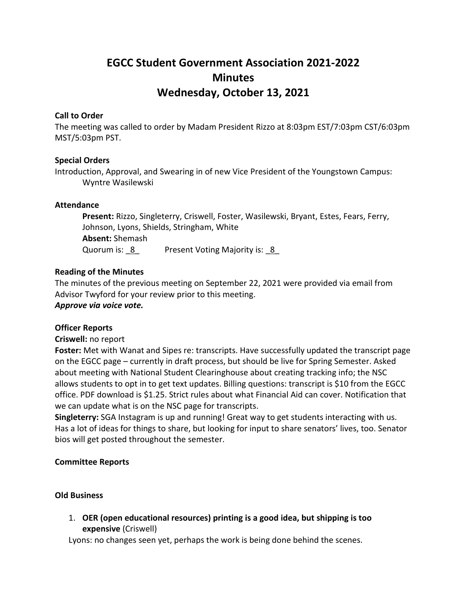# **EGCC Student Government Association 2021-2022 Minutes Wednesday, October 13, 2021**

### **Call to Order**

The meeting was called to order by Madam President Rizzo at 8:03pm EST/7:03pm CST/6:03pm MST/5:03pm PST.

#### **Special Orders**

Introduction, Approval, and Swearing in of new Vice President of the Youngstown Campus: Wyntre Wasilewski

#### **Attendance**

**Present:** Rizzo, Singleterry, Criswell, Foster, Wasilewski, Bryant, Estes, Fears, Ferry, Johnson, Lyons, Shields, Stringham, White **Absent:** Shemash Quorum is: 8 Present Voting Majority is: 8

#### **Reading of the Minutes**

The minutes of the previous meeting on September 22, 2021 were provided via email from Advisor Twyford for your review prior to this meeting. *Approve via voice vote.*

### **Officer Reports**

#### **Criswell:** no report

**Foster:** Met with Wanat and Sipes re: transcripts. Have successfully updated the transcript page on the EGCC page – currently in draft process, but should be live for Spring Semester. Asked about meeting with National Student Clearinghouse about creating tracking info; the NSC allows students to opt in to get text updates. Billing questions: transcript is \$10 from the EGCC office. PDF download is \$1.25. Strict rules about what Financial Aid can cover. Notification that we can update what is on the NSC page for transcripts.

**Singleterry:** SGA Instagram is up and running! Great way to get students interacting with us. Has a lot of ideas for things to share, but looking for input to share senators' lives, too. Senator bios will get posted throughout the semester.

### **Committee Reports**

#### **Old Business**

1. **OER (open educational resources) printing is a good idea, but shipping is too expensive** (Criswell)

Lyons: no changes seen yet, perhaps the work is being done behind the scenes.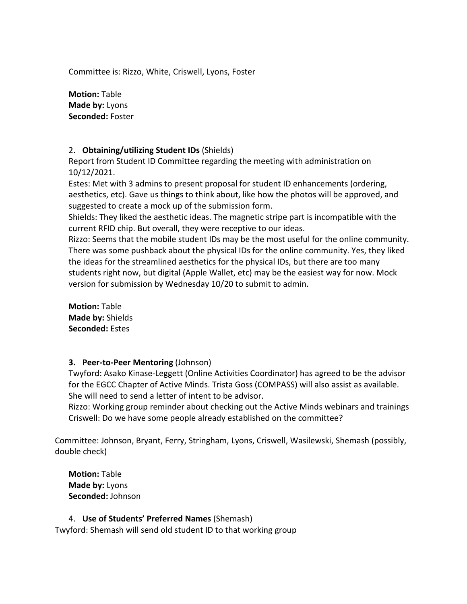Committee is: Rizzo, White, Criswell, Lyons, Foster

**Motion:** Table **Made by:** Lyons **Seconded:** Foster

### 2. **Obtaining/utilizing Student IDs** (Shields)

Report from Student ID Committee regarding the meeting with administration on 10/12/2021.

Estes: Met with 3 admins to present proposal for student ID enhancements (ordering, aesthetics, etc). Gave us things to think about, like how the photos will be approved, and suggested to create a mock up of the submission form.

Shields: They liked the aesthetic ideas. The magnetic stripe part is incompatible with the current RFID chip. But overall, they were receptive to our ideas.

Rizzo: Seems that the mobile student IDs may be the most useful for the online community. There was some pushback about the physical IDs for the online community. Yes, they liked the ideas for the streamlined aesthetics for the physical IDs, but there are too many students right now, but digital (Apple Wallet, etc) may be the easiest way for now. Mock version for submission by Wednesday 10/20 to submit to admin.

**Motion:** Table **Made by:** Shields **Seconded:** Estes

### **3. Peer-to-Peer Mentoring** (Johnson)

Twyford: Asako Kinase-Leggett (Online Activities Coordinator) has agreed to be the advisor for the EGCC Chapter of Active Minds. Trista Goss (COMPASS) will also assist as available. She will need to send a letter of intent to be advisor.

Rizzo: Working group reminder about checking out the Active Minds webinars and trainings Criswell: Do we have some people already established on the committee?

Committee: Johnson, Bryant, Ferry, Stringham, Lyons, Criswell, Wasilewski, Shemash (possibly, double check)

**Motion:** Table **Made by:** Lyons **Seconded:** Johnson

### 4. **Use of Students' Preferred Names** (Shemash)

Twyford: Shemash will send old student ID to that working group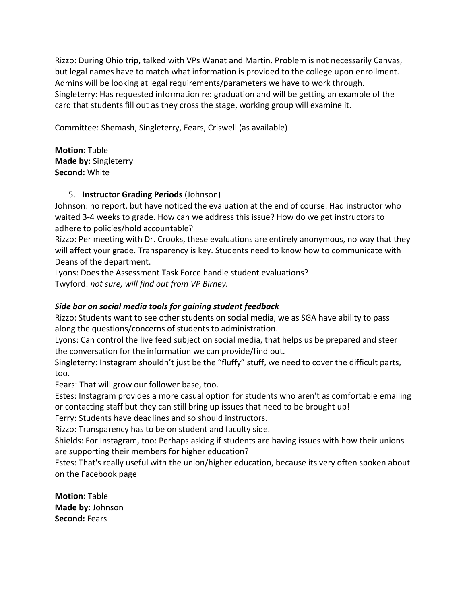Rizzo: During Ohio trip, talked with VPs Wanat and Martin. Problem is not necessarily Canvas, but legal names have to match what information is provided to the college upon enrollment. Admins will be looking at legal requirements/parameters we have to work through. Singleterry: Has requested information re: graduation and will be getting an example of the card that students fill out as they cross the stage, working group will examine it.

Committee: Shemash, Singleterry, Fears, Criswell (as available)

**Motion:** Table **Made by:** Singleterry **Second:** White

## 5. **Instructor Grading Periods** (Johnson)

Johnson: no report, but have noticed the evaluation at the end of course. Had instructor who waited 3-4 weeks to grade. How can we address this issue? How do we get instructors to adhere to policies/hold accountable?

Rizzo: Per meeting with Dr. Crooks, these evaluations are entirely anonymous, no way that they will affect your grade. Transparency is key. Students need to know how to communicate with Deans of the department.

Lyons: Does the Assessment Task Force handle student evaluations? Twyford: *not sure, will find out from VP Birney.*

# *Side bar on social media tools for gaining student feedback*

Rizzo: Students want to see other students on social media, we as SGA have ability to pass along the questions/concerns of students to administration.

Lyons: Can control the live feed subject on social media, that helps us be prepared and steer the conversation for the information we can provide/find out.

Singleterry: Instagram shouldn't just be the "fluffy" stuff, we need to cover the difficult parts, too.

Fears: That will grow our follower base, too.

Estes: Instagram provides a more casual option for students who aren't as comfortable emailing or contacting staff but they can still bring up issues that need to be brought up!

Ferry: Students have deadlines and so should instructors.

Rizzo: Transparency has to be on student and faculty side.

Shields: For Instagram, too: Perhaps asking if students are having issues with how their unions are supporting their members for higher education?

Estes: That's really useful with the union/higher education, because its very often spoken about on the Facebook page

**Motion:** Table **Made by:** Johnson **Second:** Fears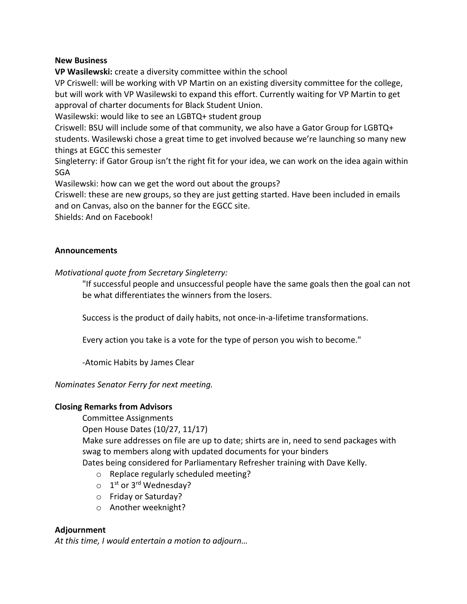### **New Business**

**VP Wasilewski:** create a diversity committee within the school

VP Criswell: will be working with VP Martin on an existing diversity committee for the college, but will work with VP Wasilewski to expand this effort. Currently waiting for VP Martin to get approval of charter documents for Black Student Union.

Wasilewski: would like to see an LGBTQ+ student group

Criswell: BSU will include some of that community, we also have a Gator Group for LGBTQ+ students. Wasilewski chose a great time to get involved because we're launching so many new things at EGCC this semester

Singleterry: if Gator Group isn't the right fit for your idea, we can work on the idea again within SGA

Wasilewski: how can we get the word out about the groups?

Criswell: these are new groups, so they are just getting started. Have been included in emails and on Canvas, also on the banner for the EGCC site.

Shields: And on Facebook!

### **Announcements**

*Motivational quote from Secretary Singleterry:*

"If successful people and unsuccessful people have the same goals then the goal can not be what differentiates the winners from the losers.

Success is the product of daily habits, not once-in-a-lifetime transformations.

Every action you take is a vote for the type of person you wish to become."

-Atomic Habits by James Clear

### *Nominates Senator Ferry for next meeting.*

### **Closing Remarks from Advisors**

Committee Assignments

Open House Dates (10/27, 11/17)

Make sure addresses on file are up to date; shirts are in, need to send packages with swag to members along with updated documents for your binders

Dates being considered for Parliamentary Refresher training with Dave Kelly.

- o Replace regularly scheduled meeting?
- $\circ$  1<sup>st</sup> or 3<sup>rd</sup> Wednesday?
- o Friday or Saturday?
- o Another weeknight?

### **Adjournment**

*At this time, I would entertain a motion to adjourn…*